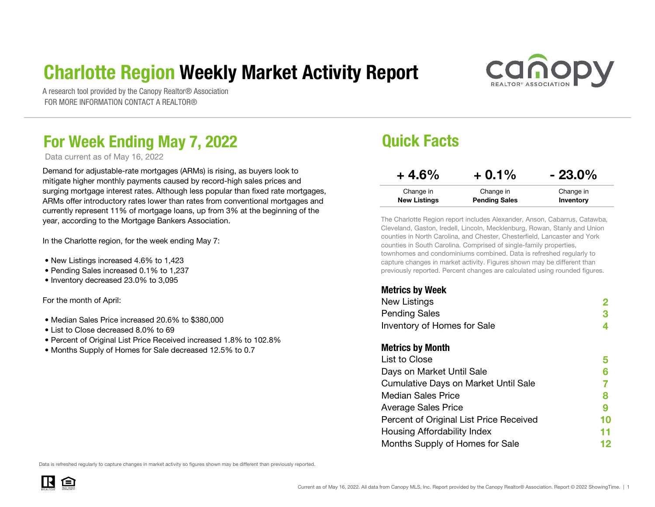### Charlotte Region Weekly Market Activity Report



A research tool provided by the Canopy Realtor® Association FOR MORE INFORMATION CONTACT A REALTOR®

### For Week Ending May 7, 2022 **Details Access 19 Aurele 10 Aurele 10 Aurele 10 Aurele 10 Aurele 10 Aurele 10 Aurele 10 Aurele 10 Aurele 10 Aurele 10 Aurele 10 Aurele 10 Aurele 10 Aurele 10 Aurele 10 Aurele 10 Aurele 10 Aurel**

Data current as of May 16, 2022

Demand for adjustable-rate mortgages (ARMs) is rising, as buyers look to mitigate higher monthly payments caused by record-high sales prices and surging mortgage interest rates. Although less popular than fixed rate mortgages, ARMs offer introductory rates lower than rates from conventional mortgages and currently represent 11% of mortgage loans, up from 3% at the beginning of the year, according to the Mortgage Bankers Association.

In the Charlotte region, for the week ending May 7:

- New Listings increased 4.6% to 1,423
- Pending Sales increased 0.1% to 1,237
- Inventory decreased 23.0% to 3,095

For the month of April:

- Median Sales Price increased 20.6% to \$380,000
- List to Close decreased 8.0% to 69
- Percent of Original List Price Received increased 1.8% to 102.8%
- Months Supply of Homes for Sale decreased 12.5% to 0.7

| $+4.6%$             | $+0.1%$              | $-23.0\%$ |
|---------------------|----------------------|-----------|
| Change in           | Change in            | Change in |
| <b>New Listings</b> | <b>Pending Sales</b> | Inventory |

The Charlotte Region report includes Alexander, Anson, Cabarrus, Catawba, Cleveland, Gaston, Iredell, Lincoln, Mecklenburg, Rowan, Stanly and Union counties in North Carolina, and Chester, Chesterfield, Lancaster and York counties in South Carolina. Comprised of single-family properties, townhomes and condominiums combined. Data is refreshed regularly to capture changes in market activity. Figures shown may be different than previously reported. Percent changes are calculated using rounded figures.

#### Metrics by Week

| vu.vv wy vv.v                           |    |
|-----------------------------------------|----|
| <b>New Listings</b>                     |    |
| <b>Pending Sales</b>                    | З  |
| Inventory of Homes for Sale             | 4  |
| <b>Metrics by Month</b>                 |    |
| List to Close                           | 5  |
| Days on Market Until Sale               | 6  |
| Cumulative Days on Market Until Sale    |    |
| <b>Median Sales Price</b>               | 8  |
| <b>Average Sales Price</b>              | 9  |
| Percent of Original List Price Received | 10 |
| Housing Affordability Index             | 11 |
| Months Supply of Homes for Sale         | 12 |
|                                         |    |

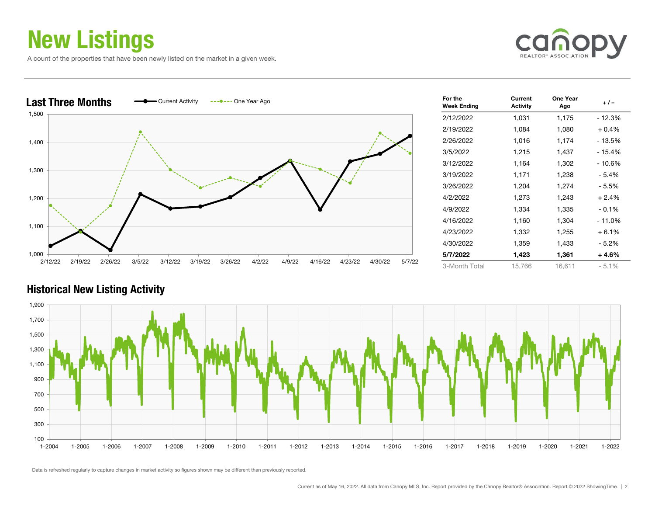### New Listings

A count of the properties that have been newly listed on the market in a given week.





| For the<br><b>Week Ending</b> | Current<br><b>Activity</b> | One Year<br>Ago | $+/-$    |
|-------------------------------|----------------------------|-----------------|----------|
| 2/12/2022                     | 1,031                      | 1,175           | - 12.3%  |
| 2/19/2022                     | 1,084                      | 1,080           | $+0.4%$  |
| 2/26/2022                     | 1,016                      | 1,174           | - 13.5%  |
| 3/5/2022                      | 1,215                      | 1,437           | $-15.4%$ |
| 3/12/2022                     | 1,164                      | 1,302           | $-10.6%$ |
| 3/19/2022                     | 1,171                      | 1,238           | - 5.4%   |
| 3/26/2022                     | 1,204                      | 1,274           | - 5.5%   |
| 4/2/2022                      | 1,273                      | 1,243           | + 2.4%   |
| 4/9/2022                      | 1,334                      | 1,335           | $-0.1%$  |
| 4/16/2022                     | 1,160                      | 1,304           | - 11.0%  |
| 4/23/2022                     | 1,332                      | 1,255           | $+6.1%$  |
| 4/30/2022                     | 1,359                      | 1,433           | - 5.2%   |
| 5/7/2022                      | 1,423                      | 1,361           | + 4.6%   |
| 3-Month Total                 | 15,766                     | 16,611          | $-5.1%$  |

#### Historical New Listing Activity

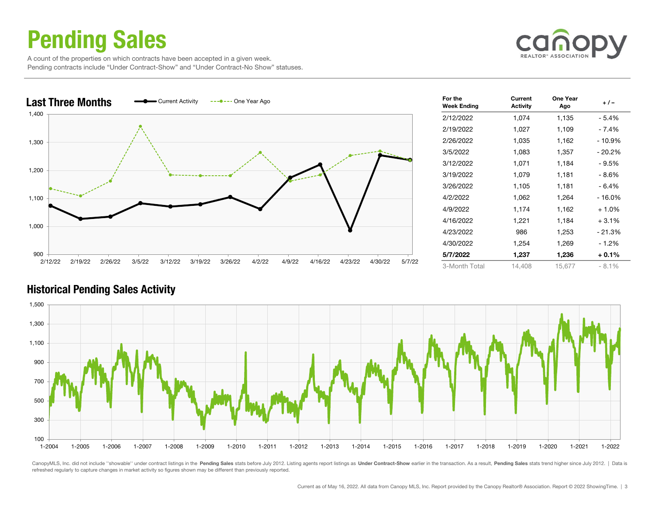### Pending Sales

 A count of the properties on which contracts have been accepted in a given week. Pending contracts include "Under Contract-Show" and "Under Contract-No Show" statuses.





| For the<br><b>Week Ending</b> | Current<br><b>Activity</b> | One Year<br>Ago | $+/-$    |
|-------------------------------|----------------------------|-----------------|----------|
| 2/12/2022                     | 1,074                      | 1,135           | - 5.4%   |
| 2/19/2022                     | 1,027                      | 1,109           | - 7.4%   |
| 2/26/2022                     | 1,035                      | 1,162           | $-10.9%$ |
| 3/5/2022                      | 1,083                      | 1,357           | - 20.2%  |
| 3/12/2022                     | 1,071                      | 1,184           | - 9.5%   |
| 3/19/2022                     | 1,079                      | 1,181           | - 8.6%   |
| 3/26/2022                     | 1,105                      | 1,181           | - 6.4%   |
| 4/2/2022                      | 1,062                      | 1,264           | $-16.0%$ |
| 4/9/2022                      | 1,174                      | 1,162           | $+1.0%$  |
| 4/16/2022                     | 1,221                      | 1,184           | $+3.1%$  |
| 4/23/2022                     | 986                        | 1,253           | $-21.3%$ |
| 4/30/2022                     | 1,254                      | 1,269           | $-1.2%$  |
| 5/7/2022                      | 1,237                      | 1,236           | $+0.1%$  |
| 3-Month Total                 | 14,408                     | 15,677          | $-8.1%$  |

#### Historical Pending Sales Activity



CanopyMLS, Inc. did not include "showable" under contract listings in the Pending Sales stats before July 2012. Listing agents report listings as Under Contract-Show earlier in the transaction. As a result, Pending Sales s refreshed regularly to capture changes in market activity so figures shown may be different than previously reported.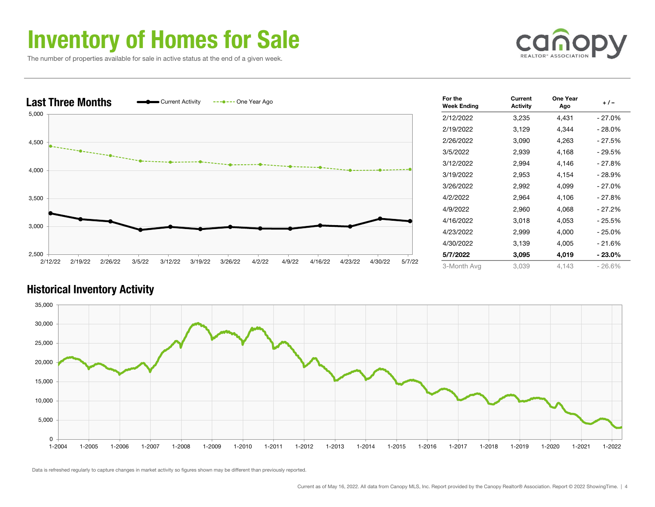### Inventory of Homes for Sale

The number of properties available for sale in active status at the end of a given week.





| For the<br><b>Week Ending</b> | Current<br><b>Activity</b> | One Year<br>Ago | $+/-$     |
|-------------------------------|----------------------------|-----------------|-----------|
| 2/12/2022                     | 3,235                      | 4,431           | $-27.0%$  |
| 2/19/2022                     | 3,129                      | 4,344           | - 28.0%   |
| 2/26/2022                     | 3,090                      | 4,263           | - 27.5%   |
| 3/5/2022                      | 2,939                      | 4,168           | - 29.5%   |
| 3/12/2022                     | 2,994                      | 4,146           | - 27.8%   |
| 3/19/2022                     | 2,953                      | 4,154           | - 28.9%   |
| 3/26/2022                     | 2,992                      | 4,099           | $-27.0\%$ |
| 4/2/2022                      | 2,964                      | 4,106           | - 27.8%   |
| 4/9/2022                      | 2,960                      | 4,068           | - 27.2%   |
| 4/16/2022                     | 3,018                      | 4,053           | - 25.5%   |
| 4/23/2022                     | 2,999                      | 4,000           | $-25.0%$  |
| 4/30/2022                     | 3,139                      | 4,005           | - 21.6%   |
| 5/7/2022                      | 3,095                      | 4,019           | $-23.0%$  |
| 3-Month Avg                   | 3,039                      | 4.143           | $-26.6%$  |

#### Historical Inventory Activity

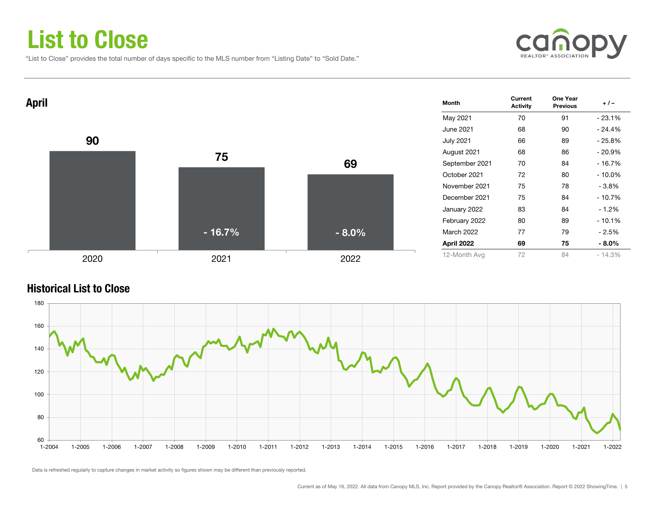### List to Close

"List to Close" provides the total number of days specific to the MLS number from "Listing Date" to "Sold Date."





#### Historical List to Close

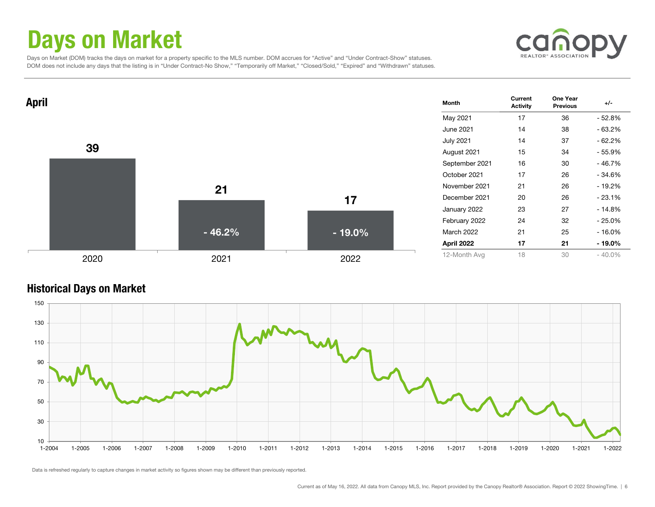### Days on Market

canopy

 Days on Market (DOM) tracks the days on market for a property specific to the MLS number. DOM accrues for "Active" and "Under Contract-Show" statuses. DOM does not include any days that the listing is in "Under Contract-No Show," "Temporarily off Market," "Closed/Sold," "Expired" and "Withdrawn" statuses.



#### Historical Days on Market

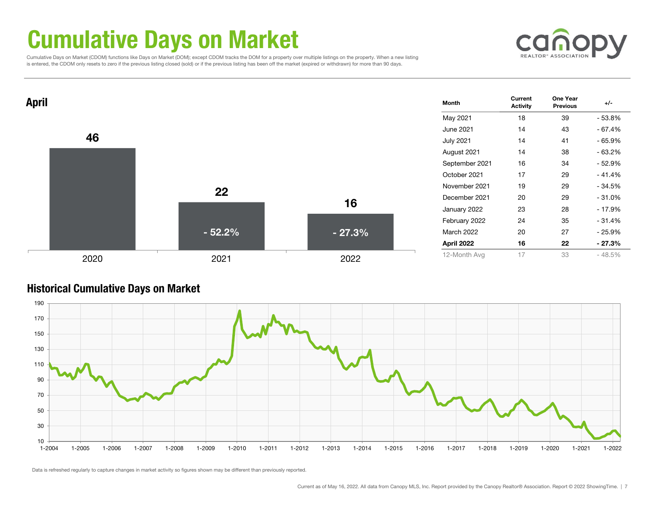### Cumulative Days on Market

 Cumulative Days on Market (CDOM) functions like Days on Market (DOM); except CDOM tracks the DOM for a property over multiple listings on the property. When a new listing is entered, the CDOM only resets to zero if the previous listing closed (sold) or if the previous listing has been off the market (expired or withdrawn) for more than 90 days.





#### Historical Cumulative Days on Market

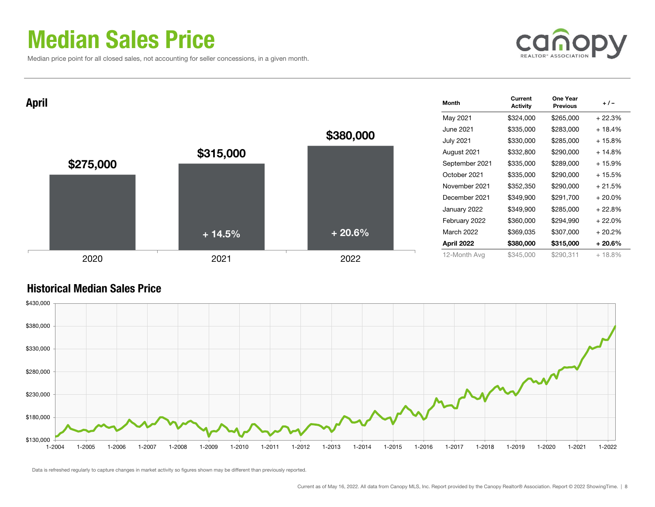### Median Sales Price

Median price point for all closed sales, not accounting for seller concessions, in a given month.



| <b>April</b> |           |           | Month             | Current<br><b>Activity</b> | One Year<br><b>Previous</b> | $+/-$     |
|--------------|-----------|-----------|-------------------|----------------------------|-----------------------------|-----------|
|              |           |           | May 2021          | \$324,000                  | \$265,000                   | $+22.3%$  |
|              |           |           | June 2021         | \$335,000                  | \$283,000                   | $+18.4%$  |
|              |           | \$380,000 | <b>July 2021</b>  | \$330,000                  | \$285,000                   | $+15.8%$  |
|              | \$315,000 |           | August 2021       | \$332,800                  | \$290,000                   | $+14.8%$  |
| \$275,000    |           |           | September 2021    | \$335,000                  | \$289,000                   | $+15.9%$  |
|              |           |           | October 2021      | \$335,000                  | \$290,000                   | $+15.5%$  |
|              |           |           | November 2021     | \$352,350                  | \$290,000                   | $+21.5%$  |
|              |           |           | December 2021     | \$349,900                  | \$291,700                   | $+20.0\%$ |
|              |           |           | January 2022      | \$349,900                  | \$285,000                   | $+22.8%$  |
|              |           |           | February 2022     | \$360,000                  | \$294,990                   | $+22.0%$  |
|              | $+14.5%$  | $+20.6%$  | <b>March 2022</b> | \$369,035                  | \$307,000                   | $+20.2%$  |
|              |           |           | April 2022        | \$380,000                  | \$315,000                   | $+20.6%$  |
| 2020         | 2021      | 2022      | 12-Month Avg      | \$345,000                  | \$290,311                   | $+18.8%$  |

### Historical Median Sales Price

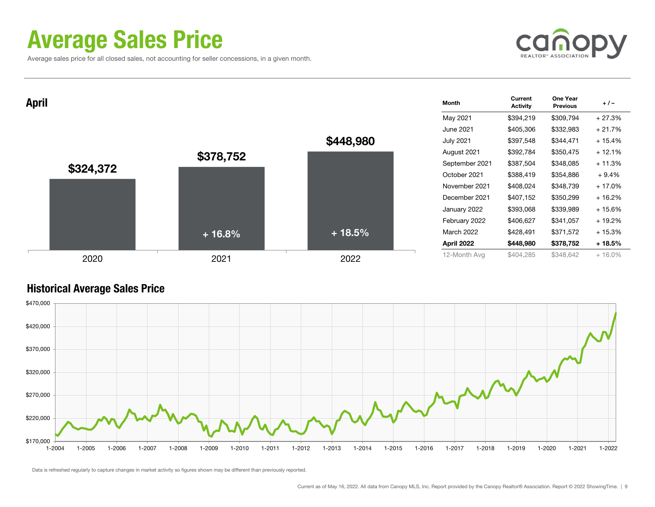### Average Sales Price

Average sales price for all closed sales, not accounting for seller concessions, in a given month.



| <b>April</b> |           |           | <b>Month</b>     | Current<br><b>Activity</b> | One Year<br><b>Previous</b> | $+/-$     |
|--------------|-----------|-----------|------------------|----------------------------|-----------------------------|-----------|
|              |           |           | May 2021         | \$394,219                  | \$309,794                   | $+27.3%$  |
|              |           |           | June 2021        | \$405,306                  | \$332,983                   | $+21.7%$  |
|              |           | \$448,980 | <b>July 2021</b> | \$397,548                  | \$344,471                   | $+15.4%$  |
|              | \$378,752 |           | August 2021      | \$392,784                  | \$350,475                   | $+12.1%$  |
| \$324,372    |           |           | September 2021   | \$387,504                  | \$348,085                   | $+11.3%$  |
|              |           |           | October 2021     | \$388,419                  | \$354,886                   | $+9.4%$   |
|              |           |           | November 2021    | \$408,024                  | \$348,739                   | $+17.0%$  |
|              |           |           | December 2021    | \$407,152                  | \$350,299                   | $+16.2%$  |
|              |           |           | January 2022     | \$393,068                  | \$339,989                   | + 15.6%   |
|              |           |           | February 2022    | \$406,627                  | \$341,057                   | + 19.2%   |
|              | $+16.8%$  | $+18.5%$  | March 2022       | \$428,491                  | \$371,572                   | $+15.3%$  |
|              |           |           | April 2022       | \$448,980                  | \$378,752                   | $+18.5%$  |
| 2020         | 2021      | 2022      | 12-Month Avg     | \$404,285                  | \$348,642                   | $+16.0\%$ |

#### Historical Average Sales Price

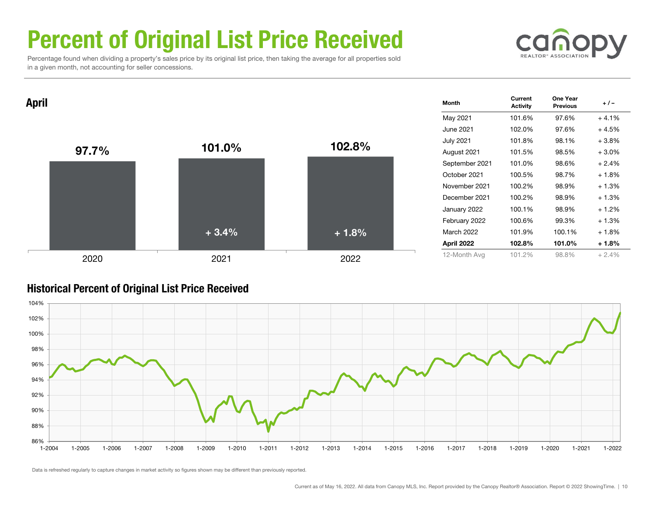## Percent of Original List Price Received

 Percentage found when dividing a property's sales price by its original list price, then taking the average for all properties sold in a given month, not accounting for seller concessions.



 $\mathsf{April}$  . The Month  $_\mathrm{Activity}$  one Year  $_\mathrm{Activity}$  one Year  $_\mathrm{Activity}$  one Year  $_\mathrm{1/ -}$ May 2021 101.6% 97.6% + 4.1% June 2021 102.0% 97.6% + 4.5%July 2021 101.8% 98.1% + 3.8% August 2021 101.5% 98.5% + 3.0% September 2021 101.0% 98.6% + 2.4% October 2021 100.5% 98.7% + 1.8% November 2021 100.2% 98.9% + 1.3%December 2021 100.2% 98.9% + 1.3%January 2022 100.1% 98.9% + 1.2% February 2022 100.6% 99.3% + 1.3% March 2022 101.9% 100.1% + 1.8% April 2022 102.8% 101.0% + 1.8% 12-Month Avg 101.2% 98.8% + 2.4% 97.7% 101.0% 102.8% 2020 2021 2022 + 3.4%+ 1.8%

#### Historical Percent of Original List Price Received

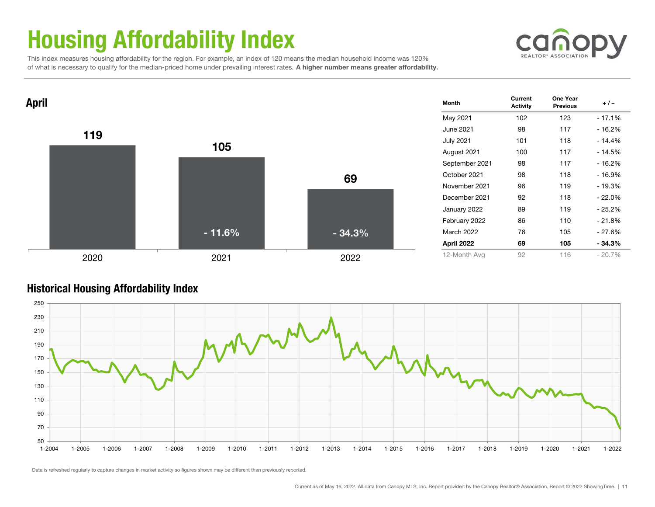# Housing Affordability Index



 This index measures housing affordability for the region. For example, an index of 120 means the median household income was 120% of what is necessary to qualify for the median-priced home under prevailing interest rates. A higher number means greater affordability.



#### Historical Housing Affordability Index